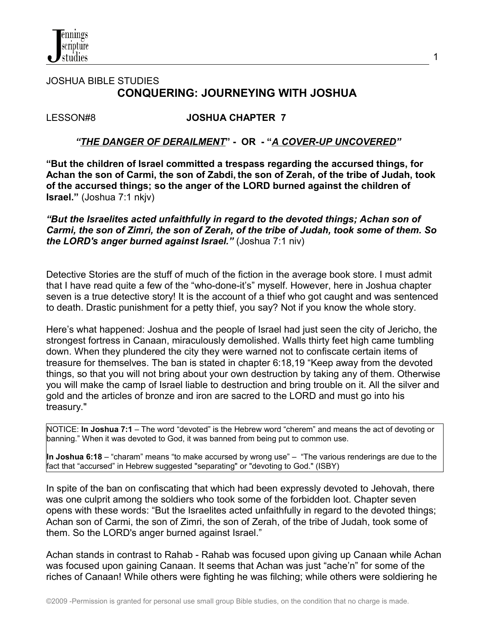

# JOSHUA BIBLE STUDIES  **CONQUERING: JOURNEYING WITH JOSHUA**

#### LESSON#8 **JOSHUA CHAPTER 7**

#### *"THE DANGER OF DERAILMENT***" - OR - "***A COVER-UP UNCOVERED"*

**"But the children of Israel committed a trespass regarding the accursed things, for Achan the son of Carmi, the son of Zabdi, the son of Zerah, of the tribe of Judah, took of the accursed things; so the anger of the LORD burned against the children of Israel."** (Joshua 7:1 nkjv)

*"But the Israelites acted unfaithfully in regard to the devoted things; Achan son of Carmi, the son of Zimri, the son of Zerah, of the tribe of Judah, took some of them. So the LORD's anger burned against Israel."* (Joshua 7:1 niv)

Detective Stories are the stuff of much of the fiction in the average book store. I must admit that I have read quite a few of the "who-done-it's" myself. However, here in Joshua chapter seven is a true detective story! It is the account of a thief who got caught and was sentenced to death. Drastic punishment for a petty thief, you say? Not if you know the whole story.

Here's what happened: Joshua and the people of Israel had just seen the city of Jericho, the strongest fortress in Canaan, miraculously demolished. Walls thirty feet high came tumbling down. When they plundered the city they were warned not to confiscate certain items of treasure for themselves. The ban is stated in chapter 6:18,19 "Keep away from the devoted things, so that you will not bring about your own destruction by taking any of them. Otherwise you will make the camp of Israel liable to destruction and bring trouble on it. All the silver and gold and the articles of bronze and iron are sacred to the LORD and must go into his treasury."

NOTICE: **In Joshua 7:1** – The word "devoted" is the Hebrew word "cherem" and means the act of devoting or banning." When it was devoted to God, it was banned from being put to common use.

**In Joshua 6:18** – "charam" means "to make accursed by wrong use" – "The various renderings are due to the fact that "accursed" in Hebrew suggested "separating" or "devoting to God." (ISBY)

In spite of the ban on confiscating that which had been expressly devoted to Jehovah, there was one culprit among the soldiers who took some of the forbidden loot. Chapter seven opens with these words: "But the Israelites acted unfaithfully in regard to the devoted things; Achan son of Carmi, the son of Zimri, the son of Zerah, of the tribe of Judah, took some of them. So the LORD's anger burned against Israel."

Achan stands in contrast to Rahab - Rahab was focused upon giving up Canaan while Achan was focused upon gaining Canaan. It seems that Achan was just "ache'n" for some of the riches of Canaan! While others were fighting he was filching; while others were soldiering he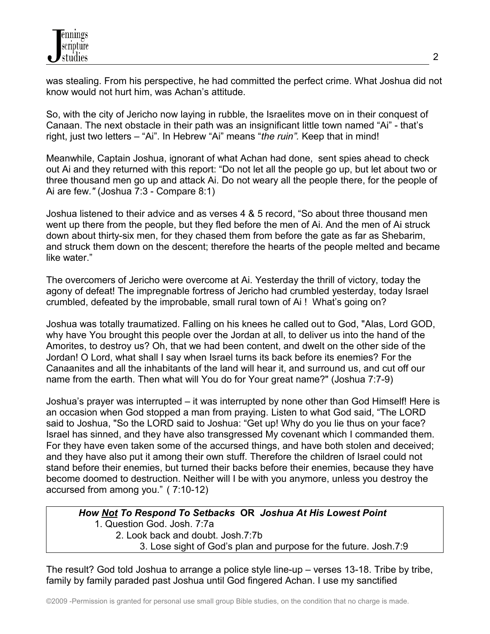was stealing. From his perspective, he had committed the perfect crime. What Joshua did not know would not hurt him, was Achan's attitude.

So, with the city of Jericho now laying in rubble, the Israelites move on in their conquest of Canaan. The next obstacle in their path was an insignificant little town named "Ai" - that's right, just two letters – "Ai". In Hebrew "Ai" means "*the ruin".* Keep that in mind!

Meanwhile, Captain Joshua, ignorant of what Achan had done, sent spies ahead to check out Ai and they returned with this report: "Do not let all the people go up, but let about two or three thousand men go up and attack Ai. Do not weary all the people there, for the people of Ai are few.*"* (Joshua 7:3 - Compare 8:1)

Joshua listened to their advice and as verses 4 & 5 record, "So about three thousand men went up there from the people, but they fled before the men of Ai. And the men of Ai struck down about thirty-six men, for they chased them from before the gate as far as Shebarim, and struck them down on the descent; therefore the hearts of the people melted and became like water."

The overcomers of Jericho were overcome at Ai. Yesterday the thrill of victory, today the agony of defeat! The impregnable fortress of Jericho had crumbled yesterday, today Israel crumbled, defeated by the improbable, small rural town of Ai ! What's going on?

Joshua was totally traumatized. Falling on his knees he called out to God, "Alas, Lord GOD, why have You brought this people over the Jordan at all, to deliver us into the hand of the Amorites, to destroy us? Oh, that we had been content, and dwelt on the other side of the Jordan! O Lord, what shall I say when Israel turns its back before its enemies? For the Canaanites and all the inhabitants of the land will hear it, and surround us, and cut off our name from the earth. Then what will You do for Your great name?" (Joshua 7:7-9)

Joshua's prayer was interrupted – it was interrupted by none other than God Himself! Here is an occasion when God stopped a man from praying. Listen to what God said, "The LORD said to Joshua, "So the LORD said to Joshua: "Get up! Why do you lie thus on your face? Israel has sinned, and they have also transgressed My covenant which I commanded them. For they have even taken some of the accursed things, and have both stolen and deceived; and they have also put it among their own stuff. Therefore the children of Israel could not stand before their enemies, but turned their backs before their enemies, because they have become doomed to destruction. Neither will I be with you anymore, unless you destroy the accursed from among you." ( 7:10-12)

 *How Not To Respond To Setbacks* **OR** *Joshua At His Lowest Point* 1. Question God. Josh. 7:7a 2. Look back and doubt. Josh.7:7b 3. Lose sight of God's plan and purpose for the future. Josh.7:9

The result? God told Joshua to arrange a police style line-up – verses 13-18. Tribe by tribe, family by family paraded past Joshua until God fingered Achan. I use my sanctified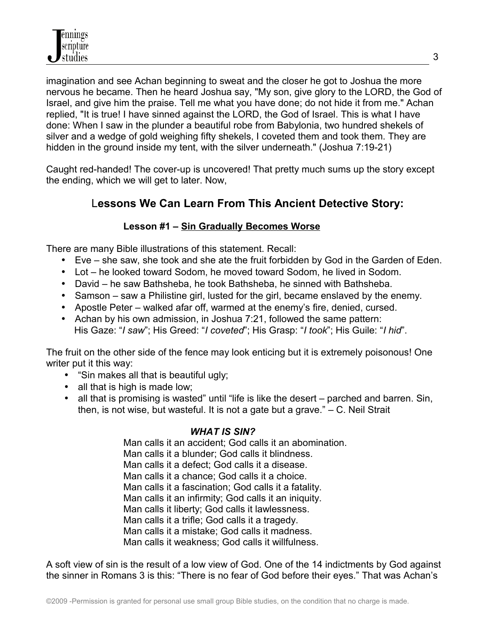imagination and see Achan beginning to sweat and the closer he got to Joshua the more nervous he became. Then he heard Joshua say, "My son, give glory to the LORD, the God of Israel, and give him the praise. Tell me what you have done; do not hide it from me." Achan replied, "It is true! I have sinned against the LORD, the God of Israel. This is what I have done: When I saw in the plunder a beautiful robe from Babylonia, two hundred shekels of silver and a wedge of gold weighing fifty shekels, I coveted them and took them. They are hidden in the ground inside my tent, with the silver underneath." (Joshua 7:19-21)

Caught red-handed! The cover-up is uncovered! That pretty much sums up the story except the ending, which we will get to later. Now,

# L**essons We Can Learn From This Ancient Detective Story:**

# **Lesson #1 – Sin Gradually Becomes Worse**

There are many Bible illustrations of this statement. Recall:

- Eve she saw, she took and she ate the fruit forbidden by God in the Garden of Eden.
- Lot he looked toward Sodom, he moved toward Sodom, he lived in Sodom.
- David he saw Bathsheba, he took Bathsheba, he sinned with Bathsheba.
- Samson saw a Philistine girl, lusted for the girl, became enslaved by the enemy.
- Apostle Peter walked afar off, warmed at the enemy's fire, denied, cursed.
- Achan by his own admission, in Joshua 7:21, followed the same pattern: His Gaze: "*I saw*"; His Greed: "*I coveted*"; His Grasp: "*I took*"; His Guile: "*I hid*".

The fruit on the other side of the fence may look enticing but it is extremely poisonous! One writer put it this way:

- "Sin makes all that is beautiful ugly;
- all that is high is made low;
- all that is promising is wasted" until "life is like the desert parched and barren. Sin, then, is not wise, but wasteful. It is not a gate but a grave." – C. Neil Strait

## *WHAT IS SIN?*

 Man calls it an accident; God calls it an abomination. Man calls it a blunder; God calls it blindness. Man calls it a defect; God calls it a disease. Man calls it a chance; God calls it a choice. Man calls it a fascination; God calls it a fatality. Man calls it an infirmity; God calls it an iniquity. Man calls it liberty; God calls it lawlessness. Man calls it a trifle; God calls it a tragedy. Man calls it a mistake; God calls it madness. Man calls it weakness; God calls it willfulness.

A soft view of sin is the result of a low view of God. One of the 14 indictments by God against the sinner in Romans 3 is this: "There is no fear of God before their eyes." That was Achan's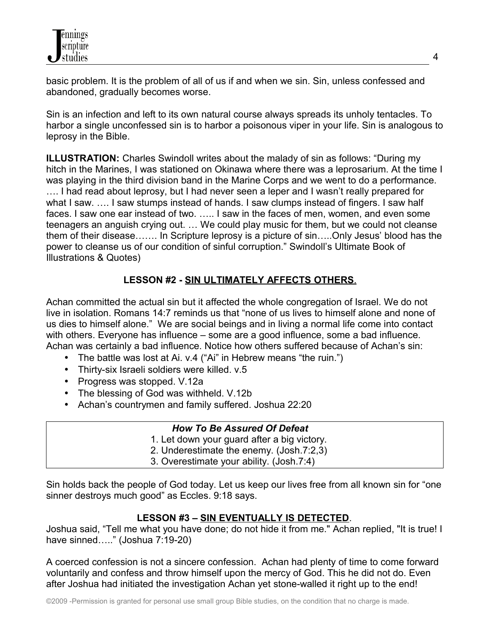basic problem. It is the problem of all of us if and when we sin. Sin, unless confessed and abandoned, gradually becomes worse.

Sin is an infection and left to its own natural course always spreads its unholy tentacles. To harbor a single unconfessed sin is to harbor a poisonous viper in your life. Sin is analogous to leprosy in the Bible.

**ILLUSTRATION:** Charles Swindoll writes about the malady of sin as follows: "During my hitch in the Marines, I was stationed on Okinawa where there was a leprosarium. At the time I was playing in the third division band in the Marine Corps and we went to do a performance. …. I had read about leprosy, but I had never seen a leper and I wasn't really prepared for what I saw. .... I saw stumps instead of hands. I saw clumps instead of fingers. I saw half faces. I saw one ear instead of two. ….. I saw in the faces of men, women, and even some teenagers an anguish crying out. … We could play music for them, but we could not cleanse them of their disease……. In Scripture leprosy is a picture of sin…..Only Jesus' blood has the power to cleanse us of our condition of sinful corruption." Swindoll's Ultimate Book of Illustrations & Quotes)

# **LESSON #2 - SIN ULTIMATELY AFFECTS OTHERS**.

Achan committed the actual sin but it affected the whole congregation of Israel. We do not live in isolation. Romans 14:7 reminds us that "none of us lives to himself alone and none of us dies to himself alone." We are social beings and in living a normal life come into contact with others. Everyone has influence – some are a good influence, some a bad influence. Achan was certainly a bad influence. Notice how others suffered because of Achan's sin:

- The battle was lost at Ai. v.4 ("Ai" in Hebrew means "the ruin.")
- Thirty-six Israeli soldiers were killed. v.5
- Progress was stopped. V.12a
- The blessing of God was withheld. V.12b
- Achan's countrymen and family suffered. Joshua 22:20

#### *How To Be Assured Of Defeat*

- 1. Let down your guard after a big victory.
- 2. Underestimate the enemy. (Josh.7:2,3)
- 3. Overestimate your ability. (Josh.7:4)

Sin holds back the people of God today. Let us keep our lives free from all known sin for "one sinner destroys much good" as Eccles. 9:18 says.

## **LESSON #3 – SIN EVENTUALLY IS DETECTED**.

Joshua said, "Tell me what you have done; do not hide it from me." Achan replied, "It is true! I have sinned….." (Joshua 7:19-20)

A coerced confession is not a sincere confession. Achan had plenty of time to come forward voluntarily and confess and throw himself upon the mercy of God. This he did not do. Even after Joshua had initiated the investigation Achan yet stone-walled it right up to the end!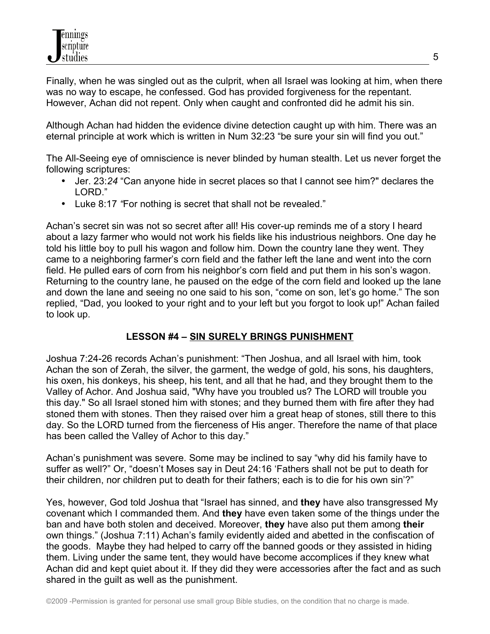Finally, when he was singled out as the culprit, when all Israel was looking at him, when there was no way to escape, he confessed. God has provided forgiveness for the repentant. However, Achan did not repent. Only when caught and confronted did he admit his sin.

Although Achan had hidden the evidence divine detection caught up with him. There was an eternal principle at work which is written in Num 32:23 "be sure your sin will find you out."

The All-Seeing eye of omniscience is never blinded by human stealth. Let us never forget the following scriptures:

- Jer. 23:*24* "Can anyone hide in secret places so that I cannot see him?" declares the LORD."
- Luke 8:17 *"*For nothing is secret that shall not be revealed."

Achan's secret sin was not so secret after all! His cover-up reminds me of a story I heard about a lazy farmer who would not work his fields like his industrious neighbors. One day he told his little boy to pull his wagon and follow him. Down the country lane they went. They came to a neighboring farmer's corn field and the father left the lane and went into the corn field. He pulled ears of corn from his neighbor's corn field and put them in his son's wagon. Returning to the country lane, he paused on the edge of the corn field and looked up the lane and down the lane and seeing no one said to his son, "come on son, let's go home." The son replied, "Dad, you looked to your right and to your left but you forgot to look up!" Achan failed to look up.

## **LESSON #4 – SIN SURELY BRINGS PUNISHMENT**

Joshua 7:24-26 records Achan's punishment: "Then Joshua, and all Israel with him, took Achan the son of Zerah, the silver, the garment, the wedge of gold, his sons, his daughters, his oxen, his donkeys, his sheep, his tent, and all that he had, and they brought them to the Valley of Achor. And Joshua said, "Why have you troubled us? The LORD will trouble you this day." So all Israel stoned him with stones; and they burned them with fire after they had stoned them with stones. Then they raised over him a great heap of stones, still there to this day. So the LORD turned from the fierceness of His anger. Therefore the name of that place has been called the Valley of Achor to this day."

Achan's punishment was severe. Some may be inclined to say "why did his family have to suffer as well?" Or, "doesn't Moses say in Deut 24:16 'Fathers shall not be put to death for their children, nor children put to death for their fathers; each is to die for his own sin'?"

Yes, however, God told Joshua that "Israel has sinned, and **they** have also transgressed My covenant which I commanded them. And **they** have even taken some of the things under the ban and have both stolen and deceived. Moreover, **they** have also put them among **their** own things." (Joshua 7:11) Achan's family evidently aided and abetted in the confiscation of the goods. Maybe they had helped to carry off the banned goods or they assisted in hiding them. Living under the same tent, they would have become accomplices if they knew what Achan did and kept quiet about it. If they did they were accessories after the fact and as such shared in the guilt as well as the punishment.